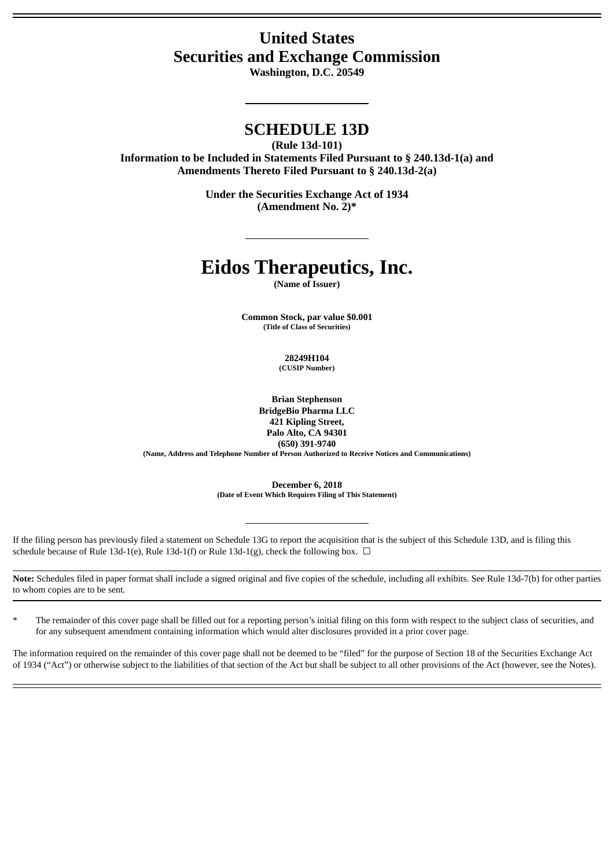## **United States Securities and Exchange Commission**

**Washington, D.C. 20549**

### **SCHEDULE 13D**

**(Rule 13d-101)**

**Information to be Included in Statements Filed Pursuant to § 240.13d-1(a) and Amendments Thereto Filed Pursuant to § 240.13d-2(a)**

> **Under the Securities Exchange Act of 1934 (Amendment No. 2)\***

# **Eidos Therapeutics, Inc.**

**(Name of Issuer)**

**Common Stock, par value \$0.001 (Title of Class of Securities)**

> **28249H104 (CUSIP Number)**

**Brian Stephenson BridgeBio Pharma LLC 421 Kipling Street, Palo Alto, CA 94301 (650) 391-9740 (Name, Address and Telephone Number of Person Authorized to Receive Notices and Communications)**

> **December 6, 2018 (Date of Event Which Requires Filing of This Statement)**

If the filing person has previously filed a statement on Schedule 13G to report the acquisition that is the subject of this Schedule 13D, and is filing this schedule because of Rule 13d-1(e), Rule 13d-1(f) or Rule 13d-1(g), check the following box.  $\Box$ 

**Note:** Schedules filed in paper format shall include a signed original and five copies of the schedule, including all exhibits. See Rule 13d-7(b) for other parties to whom copies are to be sent.

The remainder of this cover page shall be filled out for a reporting person's initial filing on this form with respect to the subject class of securities, and for any subsequent amendment containing information which would alter disclosures provided in a prior cover page.

The information required on the remainder of this cover page shall not be deemed to be "filed" for the purpose of Section 18 of the Securities Exchange Act of 1934 ("Act") or otherwise subject to the liabilities of that section of the Act but shall be subject to all other provisions of the Act (however, see the Notes).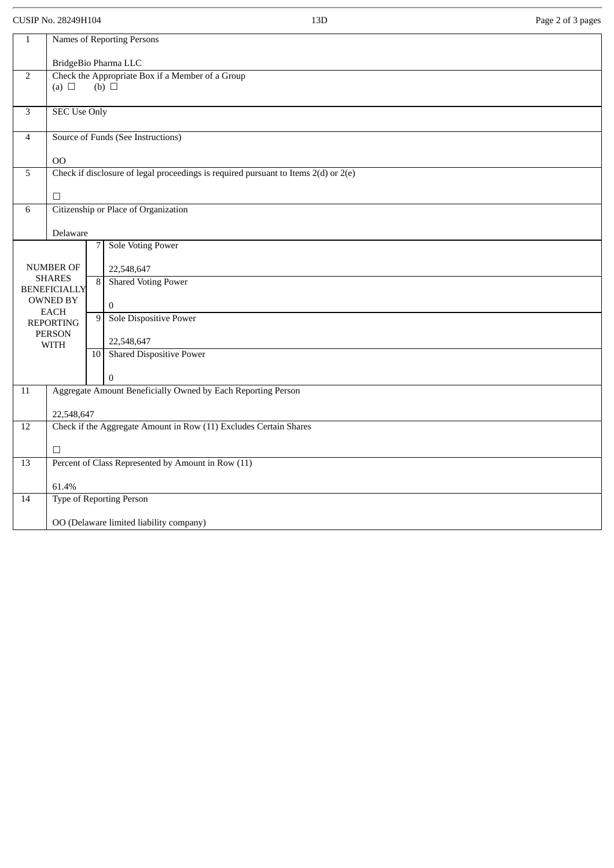CUSIP No. 28249H104 Page 2 of 3 pages

| $\mathbf{1}$                              | Names of Reporting Persons                                                              |                                                  |                               |  |  |  |  |  |  |
|-------------------------------------------|-----------------------------------------------------------------------------------------|--------------------------------------------------|-------------------------------|--|--|--|--|--|--|
|                                           | BridgeBio Pharma LLC                                                                    |                                                  |                               |  |  |  |  |  |  |
| $\overline{2}$                            |                                                                                         | Check the Appropriate Box if a Member of a Group |                               |  |  |  |  |  |  |
|                                           |                                                                                         | $(b)$ $\Box$<br>(a) $\Box$                       |                               |  |  |  |  |  |  |
|                                           |                                                                                         |                                                  |                               |  |  |  |  |  |  |
| 3                                         | <b>SEC Use Only</b>                                                                     |                                                  |                               |  |  |  |  |  |  |
| $\overline{4}$                            | Source of Funds (See Instructions)                                                      |                                                  |                               |  |  |  |  |  |  |
|                                           | O <sub>O</sub>                                                                          |                                                  |                               |  |  |  |  |  |  |
| 5                                         | Check if disclosure of legal proceedings is required pursuant to Items $2(d)$ or $2(e)$ |                                                  |                               |  |  |  |  |  |  |
|                                           | $\Box$                                                                                  |                                                  |                               |  |  |  |  |  |  |
| Citizenship or Place of Organization<br>6 |                                                                                         |                                                  |                               |  |  |  |  |  |  |
|                                           |                                                                                         |                                                  |                               |  |  |  |  |  |  |
|                                           |                                                                                         | Delaware                                         |                               |  |  |  |  |  |  |
|                                           |                                                                                         | 7                                                | <b>Sole Voting Power</b>      |  |  |  |  |  |  |
|                                           |                                                                                         |                                                  |                               |  |  |  |  |  |  |
|                                           | <b>NUMBER OF</b><br><b>SHARES</b>                                                       |                                                  | 22,548,647                    |  |  |  |  |  |  |
|                                           | <b>BENEFICIALLY</b>                                                                     |                                                  | 8 Shared Voting Power         |  |  |  |  |  |  |
|                                           | <b>OWNED BY</b>                                                                         |                                                  | $\mathbf{0}$                  |  |  |  |  |  |  |
|                                           | <b>EACH</b>                                                                             | 9                                                | <b>Sole Dispositive Power</b> |  |  |  |  |  |  |
|                                           | <b>REPORTING</b>                                                                        |                                                  |                               |  |  |  |  |  |  |
|                                           | <b>PERSON</b><br><b>WITH</b>                                                            |                                                  | 22,548,647                    |  |  |  |  |  |  |
|                                           |                                                                                         |                                                  | 10 Shared Dispositive Power   |  |  |  |  |  |  |
|                                           |                                                                                         |                                                  | $\mathbf{0}$                  |  |  |  |  |  |  |
| $11\,$                                    | Aggregate Amount Beneficially Owned by Each Reporting Person                            |                                                  |                               |  |  |  |  |  |  |
|                                           |                                                                                         |                                                  |                               |  |  |  |  |  |  |
|                                           | 22,548,647                                                                              |                                                  |                               |  |  |  |  |  |  |
| $\overline{12}$                           | Check if the Aggregate Amount in Row (11) Excludes Certain Shares                       |                                                  |                               |  |  |  |  |  |  |
|                                           | $\Box$                                                                                  |                                                  |                               |  |  |  |  |  |  |
| $\overline{13}$                           | Percent of Class Represented by Amount in Row (11)                                      |                                                  |                               |  |  |  |  |  |  |
|                                           |                                                                                         |                                                  |                               |  |  |  |  |  |  |
|                                           | 61.4%<br>Type of Reporting Person                                                       |                                                  |                               |  |  |  |  |  |  |
| $14\,$                                    |                                                                                         |                                                  |                               |  |  |  |  |  |  |
|                                           | OO (Delaware limited liability company)                                                 |                                                  |                               |  |  |  |  |  |  |
|                                           |                                                                                         |                                                  |                               |  |  |  |  |  |  |